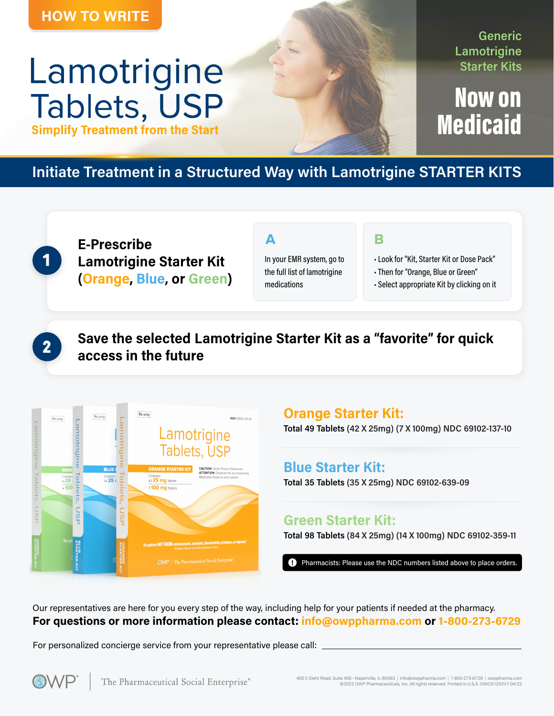# Lamotrigine **Tablets, USP**<br>Simplify Treatment from the Start

## Generic Lamotrigine **Starter Kits**

**Now on Medicaid** 

## **Initiate Treatment in a Structured Way with Lamotrigine STARTER KITS**

**A**

**E-Prescribe 1** Lamotrigine Starter Kit In your EMR system, go to **(Orange, Blue, or Green)** 

the full list of lamotrigine medications

- Look for "Kit, Starter Kit or Dose Pack"

- Then for "Orange, Blue or Green"

**B**

- Select appropriate Kit by clicking on it

Save the selected Lamotrigine Starter Kit as a "favorite" for quick 2 access in the future



## **Orange Starter Kit:**

Total 49 Tablets (42 X 25mg) (7 X 100mg) NDC 69102-137-10

Total 35 Tablets (35 X 25mg) NDC 69102-639-09 **Blue Starter Kit:** 

## **Green Starter Kit:**

Total 98 Tablets (84 X 25mg) (14 X 100mg) NDC 69102-359-11

Pharmacists: Please use the NDC numbers listed above to place orders.

Our representatives are here for you every step of the way, including help for your patients if needed at the pharmacy. For questions or more information please contact: info@owppharma.com or 1-800-273-6729

For personalized concierge service from your representative please call: